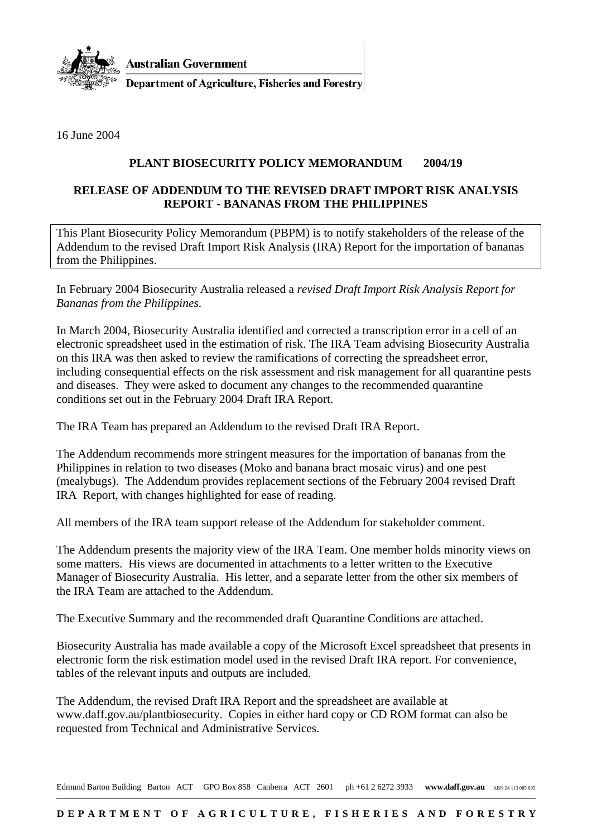

**Australian Government** 

**Department of Agriculture, Fisheries and Forestry** 

16 June 2004

### **PLANT BIOSECURITY POLICY MEMORANDUM 2004/19**

## **RELEASE OF ADDENDUM TO THE REVISED DRAFT IMPORT RISK ANALYSIS REPORT - BANANAS FROM THE PHILIPPINES**

This Plant Biosecurity Policy Memorandum (PBPM) is to notify stakeholders of the release of the Addendum to the revised Draft Import Risk Analysis (IRA) Report for the importation of bananas from the Philippines.

In February 2004 Biosecurity Australia released a *revised Draft Import Risk Analysis Report for Bananas from the Philippines*.

In March 2004, Biosecurity Australia identified and corrected a transcription error in a cell of an electronic spreadsheet used in the estimation of risk. The IRA Team advising Biosecurity Australia on this IRA was then asked to review the ramifications of correcting the spreadsheet error, including consequential effects on the risk assessment and risk management for all quarantine pests and diseases. They were asked to document any changes to the recommended quarantine conditions set out in the February 2004 Draft IRA Report.

The IRA Team has prepared an Addendum to the revised Draft IRA Report.

The Addendum recommends more stringent measures for the importation of bananas from the Philippines in relation to two diseases (Moko and banana bract mosaic virus) and one pest (mealybugs). The Addendum provides replacement sections of the February 2004 revised Draft IRA Report, with changes highlighted for ease of reading.

All members of the IRA team support release of the Addendum for stakeholder comment.

The Addendum presents the majority view of the IRA Team. One member holds minority views on some matters. His views are documented in attachments to a letter written to the Executive Manager of Biosecurity Australia. His letter, and a separate letter from the other six members of the IRA Team are attached to the Addendum.

The Executive Summary and the recommended draft Quarantine Conditions are attached.

Biosecurity Australia has made available a copy of the Microsoft Excel spreadsheet that presents in electronic form the risk estimation model used in the revised Draft IRA report. For convenience, tables of the relevant inputs and outputs are included.

The Addendum, the revised Draft IRA Report and the spreadsheet are available at www.daff.gov.au/plantbiosecurity. Copies in either hard copy or CD ROM format can also be requested from Technical and Administrative Services.

Edmund Barton Building Barton ACT GPO Box 858 Canberra ACT 2601 ph +61 2 6272 3933 www.daff.gov.au ABN 24 113 085 695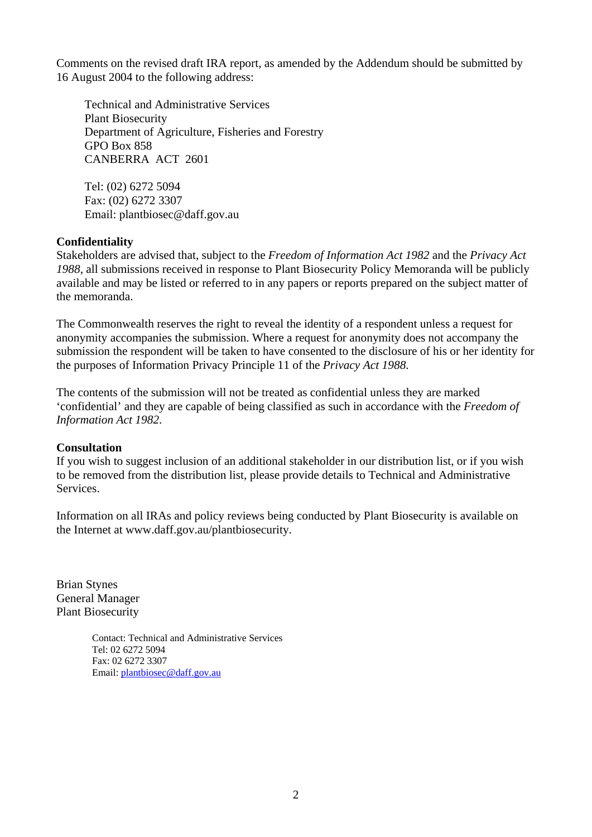Comments on the revised draft IRA report, as amended by the Addendum should be submitted by 16 August 2004 to the following address:

Technical and Administrative Services Plant Biosecurity Department of Agriculture, Fisheries and Forestry GPO Box 858 CANBERRA ACT 2601

Tel: (02) 6272 5094 Fax: (02) 6272 3307 Email: plantbiosec@daff.gov.au

### **Confidentiality**

Stakeholders are advised that, subject to the *Freedom of Information Act 1982* and the *Privacy Act 1988*, all submissions received in response to Plant Biosecurity Policy Memoranda will be publicly available and may be listed or referred to in any papers or reports prepared on the subject matter of the memoranda.

The Commonwealth reserves the right to reveal the identity of a respondent unless a request for anonymity accompanies the submission. Where a request for anonymity does not accompany the submission the respondent will be taken to have consented to the disclosure of his or her identity for the purposes of Information Privacy Principle 11 of the *Privacy Act 1988*.

The contents of the submission will not be treated as confidential unless they are marked 'confidential' and they are capable of being classified as such in accordance with the *Freedom of Information Act 1982*.

# **Consultation**

If you wish to suggest inclusion of an additional stakeholder in our distribution list, or if you wish to be removed from the distribution list, please provide details to Technical and Administrative Services.

Information on all IRAs and policy reviews being conducted by Plant Biosecurity is available on the Internet at www.daff.gov.au/plantbiosecurity.

Brian Stynes General Manager Plant Biosecurity

> Contact: Technical and Administrative Services Tel: 02 6272 5094 Fax: 02 6272 3307 Email: [plantbiosec@daff.gov.au](mailto:brian.stynes@daff.gov.au)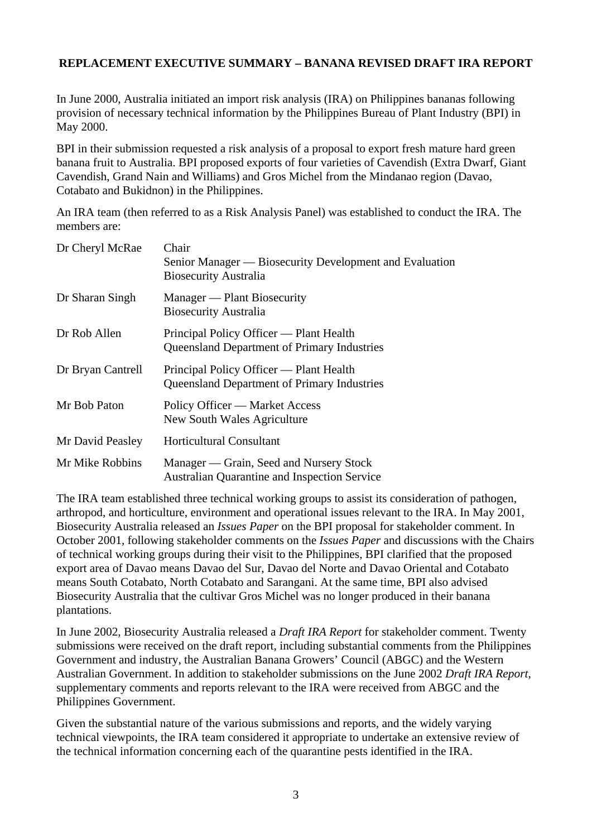# **REPLACEMENT EXECUTIVE SUMMARY – BANANA REVISED DRAFT IRA REPORT**

In June 2000, Australia initiated an import risk analysis (IRA) on Philippines bananas following provision of necessary technical information by the Philippines Bureau of Plant Industry (BPI) in May 2000.

BPI in their submission requested a risk analysis of a proposal to export fresh mature hard green banana fruit to Australia. BPI proposed exports of four varieties of Cavendish (Extra Dwarf, Giant Cavendish, Grand Nain and Williams) and Gros Michel from the Mindanao region (Davao, Cotabato and Bukidnon) in the Philippines.

An IRA team (then referred to as a Risk Analysis Panel) was established to conduct the IRA. The members are:

| Dr Cheryl McRae   | Chair<br>Senior Manager — Biosecurity Development and Evaluation<br><b>Biosecurity Australia</b> |
|-------------------|--------------------------------------------------------------------------------------------------|
| Dr Sharan Singh   | Manager — Plant Biosecurity<br><b>Biosecurity Australia</b>                                      |
| Dr Rob Allen      | Principal Policy Officer — Plant Health<br>Queensland Department of Primary Industries           |
| Dr Bryan Cantrell | Principal Policy Officer — Plant Health<br>Queensland Department of Primary Industries           |
| Mr Bob Paton      | Policy Officer — Market Access<br>New South Wales Agriculture                                    |
| Mr David Peasley  | Horticultural Consultant                                                                         |
| Mr Mike Robbins   | Manager — Grain, Seed and Nursery Stock<br><b>Australian Quarantine and Inspection Service</b>   |

The IRA team established three technical working groups to assist its consideration of pathogen, arthropod, and horticulture, environment and operational issues relevant to the IRA. In May 2001, Biosecurity Australia released an *Issues Paper* on the BPI proposal for stakeholder comment. In October 2001, following stakeholder comments on the *Issues Paper* and discussions with the Chairs of technical working groups during their visit to the Philippines, BPI clarified that the proposed export area of Davao means Davao del Sur, Davao del Norte and Davao Oriental and Cotabato means South Cotabato, North Cotabato and Sarangani. At the same time, BPI also advised Biosecurity Australia that the cultivar Gros Michel was no longer produced in their banana plantations.

In June 2002, Biosecurity Australia released a *Draft IRA Report* for stakeholder comment. Twenty submissions were received on the draft report, including substantial comments from the Philippines Government and industry, the Australian Banana Growers' Council (ABGC) and the Western Australian Government. In addition to stakeholder submissions on the June 2002 *Draft IRA Report*, supplementary comments and reports relevant to the IRA were received from ABGC and the Philippines Government.

Given the substantial nature of the various submissions and reports, and the widely varying technical viewpoints, the IRA team considered it appropriate to undertake an extensive review of the technical information concerning each of the quarantine pests identified in the IRA.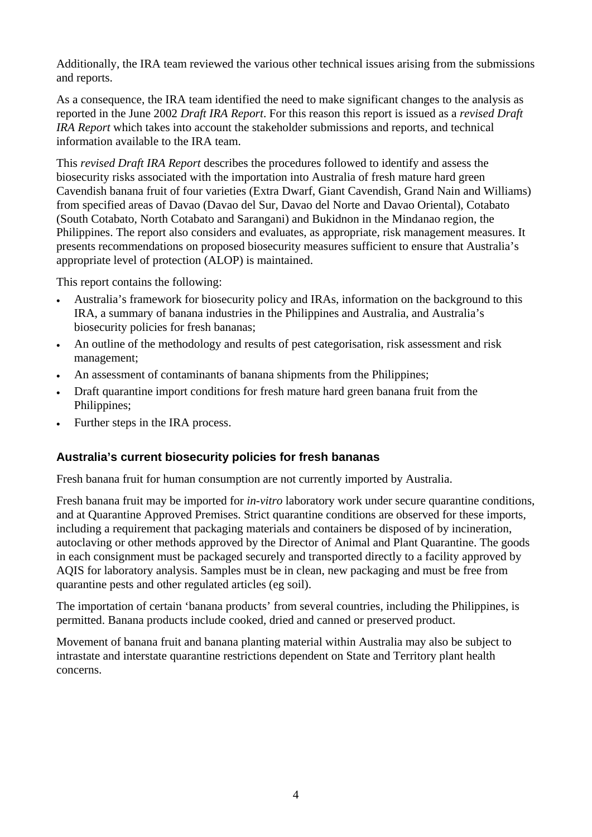Additionally, the IRA team reviewed the various other technical issues arising from the submissions and reports.

As a consequence, the IRA team identified the need to make significant changes to the analysis as reported in the June 2002 *Draft IRA Report*. For this reason this report is issued as a *revised Draft IRA Report* which takes into account the stakeholder submissions and reports, and technical information available to the IRA team.

This *revised Draft IRA Report* describes the procedures followed to identify and assess the biosecurity risks associated with the importation into Australia of fresh mature hard green Cavendish banana fruit of four varieties (Extra Dwarf, Giant Cavendish, Grand Nain and Williams) from specified areas of Davao (Davao del Sur, Davao del Norte and Davao Oriental), Cotabato (South Cotabato, North Cotabato and Sarangani) and Bukidnon in the Mindanao region, the Philippines. The report also considers and evaluates, as appropriate, risk management measures. It presents recommendations on proposed biosecurity measures sufficient to ensure that Australia's appropriate level of protection (ALOP) is maintained.

This report contains the following:

- Australia's framework for biosecurity policy and IRAs, information on the background to this IRA, a summary of banana industries in the Philippines and Australia, and Australia's biosecurity policies for fresh bananas;
- An outline of the methodology and results of pest categorisation, risk assessment and risk management;
- An assessment of contaminants of banana shipments from the Philippines;
- Draft quarantine import conditions for fresh mature hard green banana fruit from the Philippines;
- Further steps in the IRA process.

# **Australia's current biosecurity policies for fresh bananas**

Fresh banana fruit for human consumption are not currently imported by Australia.

Fresh banana fruit may be imported for *in-vitro* laboratory work under secure quarantine conditions, and at Quarantine Approved Premises. Strict quarantine conditions are observed for these imports, including a requirement that packaging materials and containers be disposed of by incineration, autoclaving or other methods approved by the Director of Animal and Plant Quarantine. The goods in each consignment must be packaged securely and transported directly to a facility approved by AQIS for laboratory analysis. Samples must be in clean, new packaging and must be free from quarantine pests and other regulated articles (eg soil).

The importation of certain 'banana products' from several countries, including the Philippines, is permitted. Banana products include cooked, dried and canned or preserved product.

Movement of banana fruit and banana planting material within Australia may also be subject to intrastate and interstate quarantine restrictions dependent on State and Territory plant health concerns.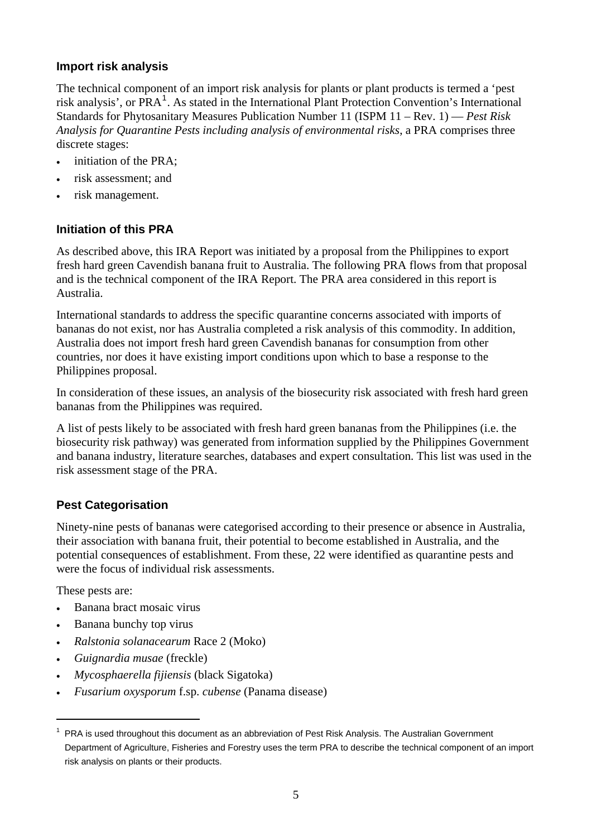# **Import risk analysis**

The technical component of an import risk analysis for plants or plant products is termed a 'pest risk analysis', or PRA<sup>[1](#page-4-0)</sup>. As stated in the International Plant Protection Convention's International Standards for Phytosanitary Measures Publication Number 11 (ISPM 11 – Rev. 1) — *Pest Risk Analysis for Quarantine Pests including analysis of environmental risks*, a PRA comprises three discrete stages:

- initiation of the PRA;
- risk assessment; and
- risk management.

# **Initiation of this PRA**

As described above, this IRA Report was initiated by a proposal from the Philippines to export fresh hard green Cavendish banana fruit to Australia. The following PRA flows from that proposal and is the technical component of the IRA Report. The PRA area considered in this report is Australia.

International standards to address the specific quarantine concerns associated with imports of bananas do not exist, nor has Australia completed a risk analysis of this commodity. In addition, Australia does not import fresh hard green Cavendish bananas for consumption from other countries, nor does it have existing import conditions upon which to base a response to the Philippines proposal.

In consideration of these issues, an analysis of the biosecurity risk associated with fresh hard green bananas from the Philippines was required.

A list of pests likely to be associated with fresh hard green bananas from the Philippines (i.e. the biosecurity risk pathway) was generated from information supplied by the Philippines Government and banana industry, literature searches, databases and expert consultation. This list was used in the risk assessment stage of the PRA.

# **Pest Categorisation**

Ninety-nine pests of bananas were categorised according to their presence or absence in Australia, their association with banana fruit, their potential to become established in Australia, and the potential consequences of establishment. From these, 22 were identified as quarantine pests and were the focus of individual risk assessments.

These pests are:

 $\overline{a}$ 

- Banana bract mosaic virus
- Banana bunchy top virus
- *Ralstonia solanacearum* Race 2 (Moko)
- *Guignardia musae* (freckle)
- *Mycosphaerella fijiensis* (black Sigatoka)
- *Fusarium oxysporum* f.sp. *cubense* (Panama disease)

<span id="page-4-0"></span><sup>1</sup> PRA is used throughout this document as an abbreviation of Pest Risk Analysis. The Australian Government Department of Agriculture, Fisheries and Forestry uses the term PRA to describe the technical component of an import risk analysis on plants or their products.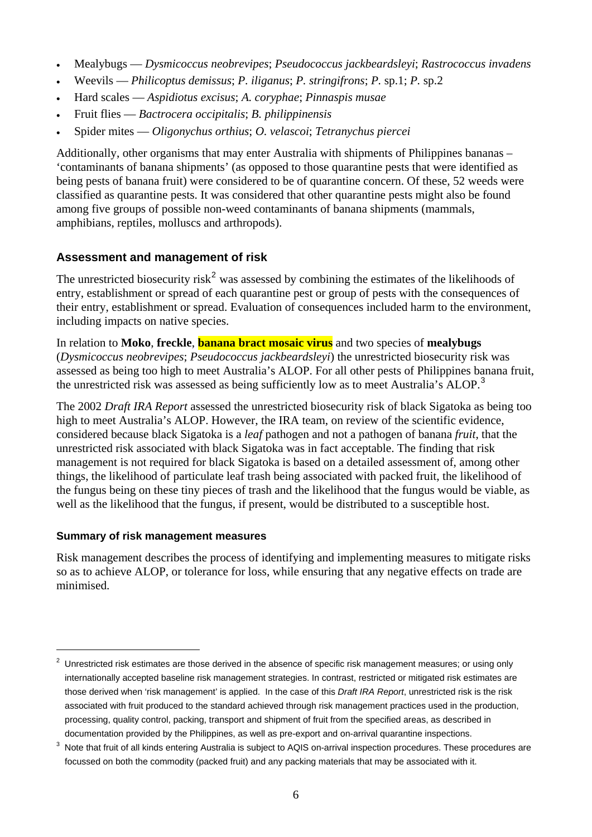- Mealybugs *Dysmicoccus neobrevipes*; *Pseudococcus jackbeardsleyi*; *Rastrococcus invadens*
- Weevils *Philicoptus demissus*; *P. iliganus*; *P. stringifrons*; *P.* sp.1; *P.* sp.2
- Hard scales *Aspidiotus excisus*; *A. coryphae*; *Pinnaspis musae*
- Fruit flies *Bactrocera occipitalis*; *B. philippinensis*
- Spider mites *Oligonychus orthius*; *O. velascoi*; *Tetranychus piercei*

Additionally, other organisms that may enter Australia with shipments of Philippines bananas – 'contaminants of banana shipments' (as opposed to those quarantine pests that were identified as being pests of banana fruit) were considered to be of quarantine concern. Of these, 52 weeds were classified as quarantine pests. It was considered that other quarantine pests might also be found among five groups of possible non-weed contaminants of banana shipments (mammals, amphibians, reptiles, molluscs and arthropods).

# **Assessment and management of risk**

The unrestricted biosecurity risk<sup>[2](#page-5-0)</sup> was assessed by combining the estimates of the likelihoods of entry, establishment or spread of each quarantine pest or group of pests with the consequences of their entry, establishment or spread. Evaluation of consequences included harm to the environment, including impacts on native species.

In relation to **Moko**, **freckle**, **banana bract mosaic virus** and two species of **mealybugs**  (*Dysmicoccus neobrevipes*; *Pseudococcus jackbeardsleyi*) the unrestricted biosecurity risk was assessed as being too high to meet Australia's ALOP. For all other pests of Philippines banana fruit, the unrestricted risk was assessed as being sufficiently low as to meet Australia's ALOP.<sup>[3](#page-5-1)</sup>

The 2002 *Draft IRA Report* assessed the unrestricted biosecurity risk of black Sigatoka as being too high to meet Australia's ALOP. However, the IRA team, on review of the scientific evidence, considered because black Sigatoka is a *leaf* pathogen and not a pathogen of banana *fruit*, that the unrestricted risk associated with black Sigatoka was in fact acceptable. The finding that risk management is not required for black Sigatoka is based on a detailed assessment of, among other things, the likelihood of particulate leaf trash being associated with packed fruit, the likelihood of the fungus being on these tiny pieces of trash and the likelihood that the fungus would be viable, as well as the likelihood that the fungus, if present, would be distributed to a susceptible host.

### **Summary of risk management measures**

Risk management describes the process of identifying and implementing measures to mitigate risks so as to achieve ALOP, or tolerance for loss, while ensuring that any negative effects on trade are minimised.

<span id="page-5-0"></span> $2$  Unrestricted risk estimates are those derived in the absence of specific risk management measures; or using only internationally accepted baseline risk management strategies. In contrast, restricted or mitigated risk estimates are those derived when 'risk management' is applied. In the case of this *Draft IRA Report*, unrestricted risk is the risk associated with fruit produced to the standard achieved through risk management practices used in the production, processing, quality control, packing, transport and shipment of fruit from the specified areas, as described in documentation provided by the Philippines, as well as pre-export and on-arrival quarantine inspections.

<span id="page-5-1"></span><sup>3</sup> Note that fruit of all kinds entering Australia is subject to AQIS on-arrival inspection procedures. These procedures are focussed on both the commodity (packed fruit) and any packing materials that may be associated with it.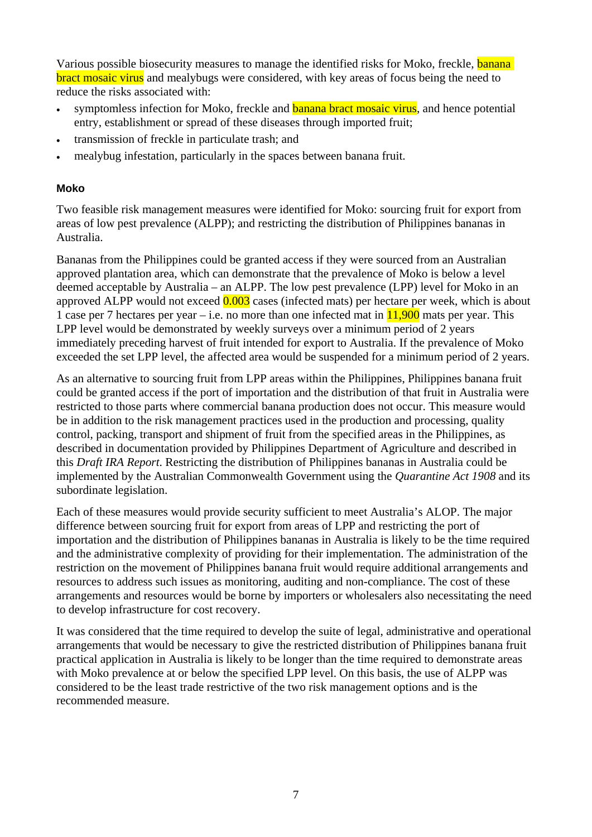Various possible biosecurity measures to manage the identified risks for Moko, freckle, **banana bract mosaic virus** and mealybugs were considered, with key areas of focus being the need to reduce the risks associated with:

- symptomless infection for Moko, freckle and **banana bract mosaic virus**, and hence potential entry, establishment or spread of these diseases through imported fruit;
- transmission of freckle in particulate trash; and
- mealybug infestation, particularly in the spaces between banana fruit.

### **Moko**

Two feasible risk management measures were identified for Moko: sourcing fruit for export from areas of low pest prevalence (ALPP); and restricting the distribution of Philippines bananas in Australia.

Bananas from the Philippines could be granted access if they were sourced from an Australian approved plantation area, which can demonstrate that the prevalence of Moko is below a level deemed acceptable by Australia – an ALPP. The low pest prevalence (LPP) level for Moko in an approved ALPP would not exceed  $0.003$  cases (infected mats) per hectare per week, which is about 1 case per 7 hectares per year – i.e. no more than one infected mat in  $11,900$  mats per year. This LPP level would be demonstrated by weekly surveys over a minimum period of 2 years immediately preceding harvest of fruit intended for export to Australia. If the prevalence of Moko exceeded the set LPP level, the affected area would be suspended for a minimum period of 2 years.

As an alternative to sourcing fruit from LPP areas within the Philippines, Philippines banana fruit could be granted access if the port of importation and the distribution of that fruit in Australia were restricted to those parts where commercial banana production does not occur. This measure would be in addition to the risk management practices used in the production and processing, quality control, packing, transport and shipment of fruit from the specified areas in the Philippines, as described in documentation provided by Philippines Department of Agriculture and described in this *Draft IRA Report*. Restricting the distribution of Philippines bananas in Australia could be implemented by the Australian Commonwealth Government using the *Quarantine Act 1908* and its subordinate legislation.

Each of these measures would provide security sufficient to meet Australia's ALOP. The major difference between sourcing fruit for export from areas of LPP and restricting the port of importation and the distribution of Philippines bananas in Australia is likely to be the time required and the administrative complexity of providing for their implementation. The administration of the restriction on the movement of Philippines banana fruit would require additional arrangements and resources to address such issues as monitoring, auditing and non-compliance. The cost of these arrangements and resources would be borne by importers or wholesalers also necessitating the need to develop infrastructure for cost recovery.

It was considered that the time required to develop the suite of legal, administrative and operational arrangements that would be necessary to give the restricted distribution of Philippines banana fruit practical application in Australia is likely to be longer than the time required to demonstrate areas with Moko prevalence at or below the specified LPP level. On this basis, the use of ALPP was considered to be the least trade restrictive of the two risk management options and is the recommended measure.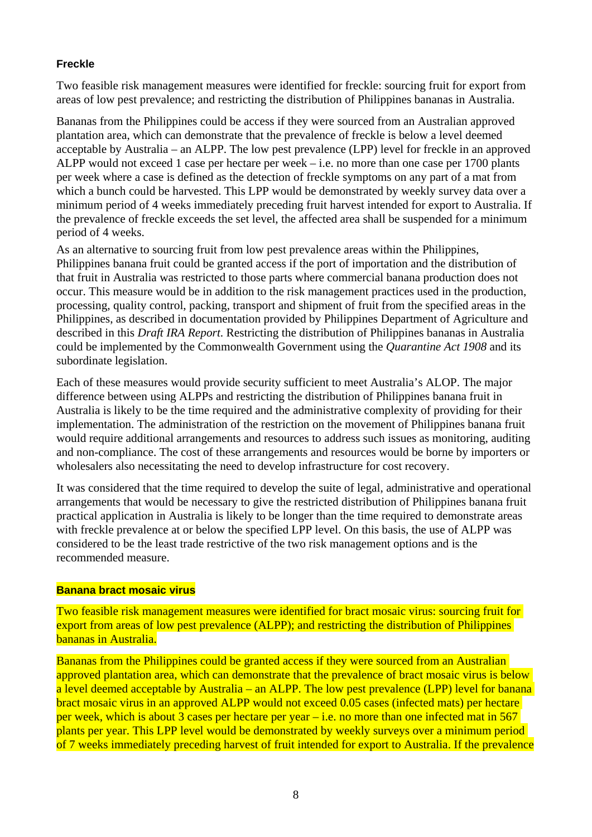## **Freckle**

Two feasible risk management measures were identified for freckle: sourcing fruit for export from areas of low pest prevalence; and restricting the distribution of Philippines bananas in Australia.

Bananas from the Philippines could be access if they were sourced from an Australian approved plantation area, which can demonstrate that the prevalence of freckle is below a level deemed acceptable by Australia – an ALPP. The low pest prevalence (LPP) level for freckle in an approved ALPP would not exceed 1 case per hectare per week – i.e. no more than one case per 1700 plants per week where a case is defined as the detection of freckle symptoms on any part of a mat from which a bunch could be harvested. This LPP would be demonstrated by weekly survey data over a minimum period of 4 weeks immediately preceding fruit harvest intended for export to Australia. If the prevalence of freckle exceeds the set level, the affected area shall be suspended for a minimum period of 4 weeks.

As an alternative to sourcing fruit from low pest prevalence areas within the Philippines, Philippines banana fruit could be granted access if the port of importation and the distribution of that fruit in Australia was restricted to those parts where commercial banana production does not occur. This measure would be in addition to the risk management practices used in the production, processing, quality control, packing, transport and shipment of fruit from the specified areas in the Philippines, as described in documentation provided by Philippines Department of Agriculture and described in this *Draft IRA Report*. Restricting the distribution of Philippines bananas in Australia could be implemented by the Commonwealth Government using the *Quarantine Act 1908* and its subordinate legislation.

Each of these measures would provide security sufficient to meet Australia's ALOP. The major difference between using ALPPs and restricting the distribution of Philippines banana fruit in Australia is likely to be the time required and the administrative complexity of providing for their implementation. The administration of the restriction on the movement of Philippines banana fruit would require additional arrangements and resources to address such issues as monitoring, auditing and non-compliance. The cost of these arrangements and resources would be borne by importers or wholesalers also necessitating the need to develop infrastructure for cost recovery.

It was considered that the time required to develop the suite of legal, administrative and operational arrangements that would be necessary to give the restricted distribution of Philippines banana fruit practical application in Australia is likely to be longer than the time required to demonstrate areas with freckle prevalence at or below the specified LPP level. On this basis, the use of ALPP was considered to be the least trade restrictive of the two risk management options and is the recommended measure.

### **Banana bract mosaic virus**

Two feasible risk management measures were identified for bract mosaic virus: sourcing fruit for export from areas of low pest prevalence (ALPP); and restricting the distribution of Philippines bananas in Australia.

Bananas from the Philippines could be granted access if they were sourced from an Australian approved plantation area, which can demonstrate that the prevalence of bract mosaic virus is below a level deemed acceptable by Australia – an ALPP. The low pest prevalence (LPP) level for banana bract mosaic virus in an approved ALPP would not exceed 0.05 cases (infected mats) per hectare per week, which is about 3 cases per hectare per year  $-$  i.e. no more than one infected mat in 567 plants per year. This LPP level would be demonstrated by weekly surveys over a minimum period of 7 weeks immediately preceding harvest of fruit intended for export to Australia. If the prevalence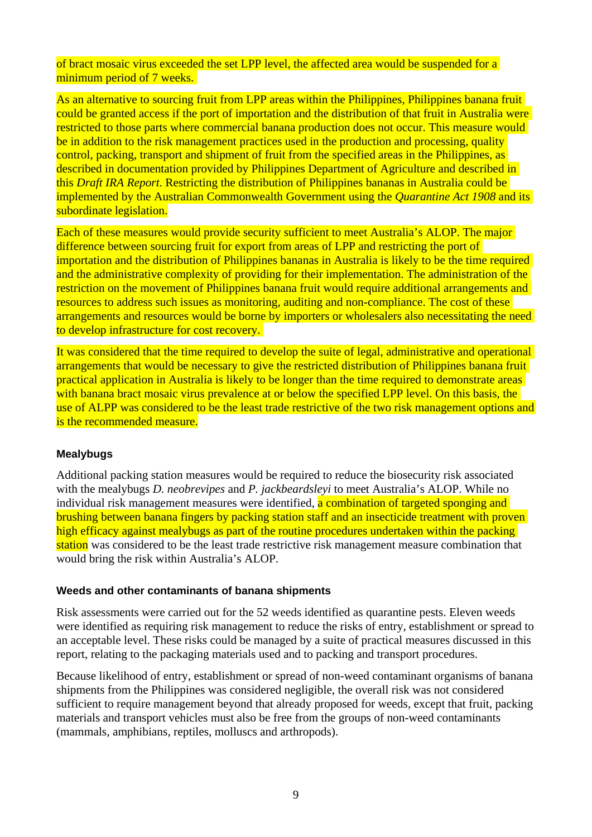of bract mosaic virus exceeded the set LPP level, the affected area would be suspended for a minimum period of 7 weeks.

As an alternative to sourcing fruit from LPP areas within the Philippines, Philippines banana fruit could be granted access if the port of importation and the distribution of that fruit in Australia were restricted to those parts where commercial banana production does not occur. This measure would be in addition to the risk management practices used in the production and processing, quality control, packing, transport and shipment of fruit from the specified areas in the Philippines, as described in documentation provided by Philippines Department of Agriculture and described in this *Draft IRA Report*. Restricting the distribution of Philippines bananas in Australia could be implemented by the Australian Commonwealth Government using the *Quarantine Act 1908* and its subordinate legislation.

Each of these measures would provide security sufficient to meet Australia's ALOP. The major difference between sourcing fruit for export from areas of LPP and restricting the port of importation and the distribution of Philippines bananas in Australia is likely to be the time required and the administrative complexity of providing for their implementation. The administration of the restriction on the movement of Philippines banana fruit would require additional arrangements and resources to address such issues as monitoring, auditing and non-compliance. The cost of these arrangements and resources would be borne by importers or wholesalers also necessitating the need to develop infrastructure for cost recovery.

It was considered that the time required to develop the suite of legal, administrative and operational arrangements that would be necessary to give the restricted distribution of Philippines banana fruit practical application in Australia is likely to be longer than the time required to demonstrate areas with banana bract mosaic virus prevalence at or below the specified LPP level. On this basis, the use of ALPP was considered to be the least trade restrictive of the two risk management options and is the recommended measure.

### **Mealybugs**

Additional packing station measures would be required to reduce the biosecurity risk associated with the mealybugs *D. neobrevipes* and *P. jackbeardsleyi* to meet Australia's ALOP. While no individual risk management measures were identified, a combination of targeted sponging and brushing between banana fingers by packing station staff and an insecticide treatment with proven high efficacy against mealybugs as part of the routine procedures undertaken within the packing station was considered to be the least trade restrictive risk management measure combination that would bring the risk within Australia's ALOP.

### **Weeds and other contaminants of banana shipments**

Risk assessments were carried out for the 52 weeds identified as quarantine pests. Eleven weeds were identified as requiring risk management to reduce the risks of entry, establishment or spread to an acceptable level. These risks could be managed by a suite of practical measures discussed in this report, relating to the packaging materials used and to packing and transport procedures.

Because likelihood of entry, establishment or spread of non-weed contaminant organisms of banana shipments from the Philippines was considered negligible, the overall risk was not considered sufficient to require management beyond that already proposed for weeds, except that fruit, packing materials and transport vehicles must also be free from the groups of non-weed contaminants (mammals, amphibians, reptiles, molluscs and arthropods).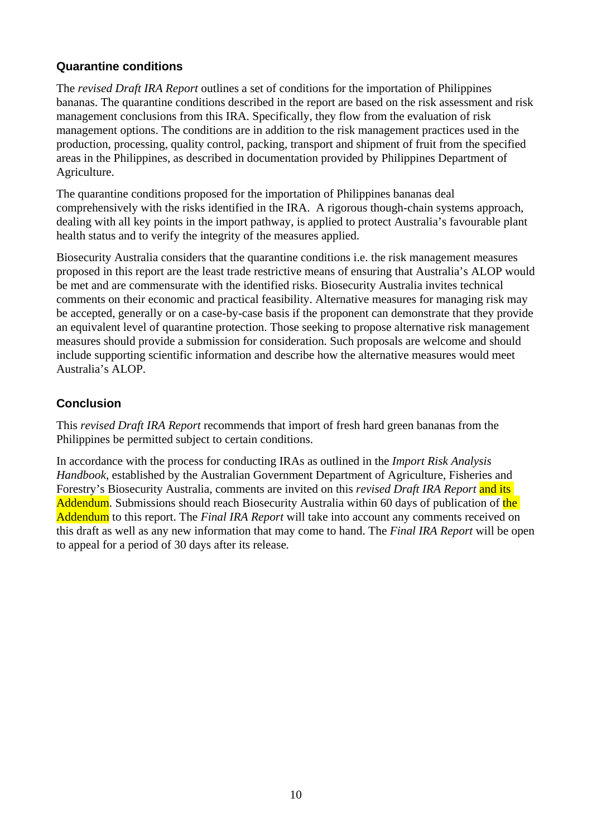# **Quarantine conditions**

The *revised Draft IRA Report* outlines a set of conditions for the importation of Philippines bananas. The quarantine conditions described in the report are based on the risk assessment and risk management conclusions from this IRA. Specifically, they flow from the evaluation of risk management options. The conditions are in addition to the risk management practices used in the production, processing, quality control, packing, transport and shipment of fruit from the specified areas in the Philippines, as described in documentation provided by Philippines Department of Agriculture.

The quarantine conditions proposed for the importation of Philippines bananas deal comprehensively with the risks identified in the IRA. A rigorous though-chain systems approach, dealing with all key points in the import pathway, is applied to protect Australia's favourable plant health status and to verify the integrity of the measures applied.

Biosecurity Australia considers that the quarantine conditions i.e. the risk management measures proposed in this report are the least trade restrictive means of ensuring that Australia's ALOP would be met and are commensurate with the identified risks. Biosecurity Australia invites technical comments on their economic and practical feasibility. Alternative measures for managing risk may be accepted, generally or on a case-by-case basis if the proponent can demonstrate that they provide an equivalent level of quarantine protection. Those seeking to propose alternative risk management measures should provide a submission for consideration. Such proposals are welcome and should include supporting scientific information and describe how the alternative measures would meet Australia's ALOP.

# **Conclusion**

This *revised Draft IRA Report* recommends that import of fresh hard green bananas from the Philippines be permitted subject to certain conditions.

In accordance with the process for conducting IRAs as outlined in the *Import Risk Analysis Handbook*, established by the Australian Government Department of Agriculture, Fisheries and Forestry's Biosecurity Australia, comments are invited on this *revised Draft IRA Report* and its Addendum. Submissions should reach Biosecurity Australia within 60 days of publication of the Addendum to this report. The *Final IRA Report* will take into account any comments received on this draft as well as any new information that may come to hand. The *Final IRA Report* will be open to appeal for a period of 30 days after its release*.*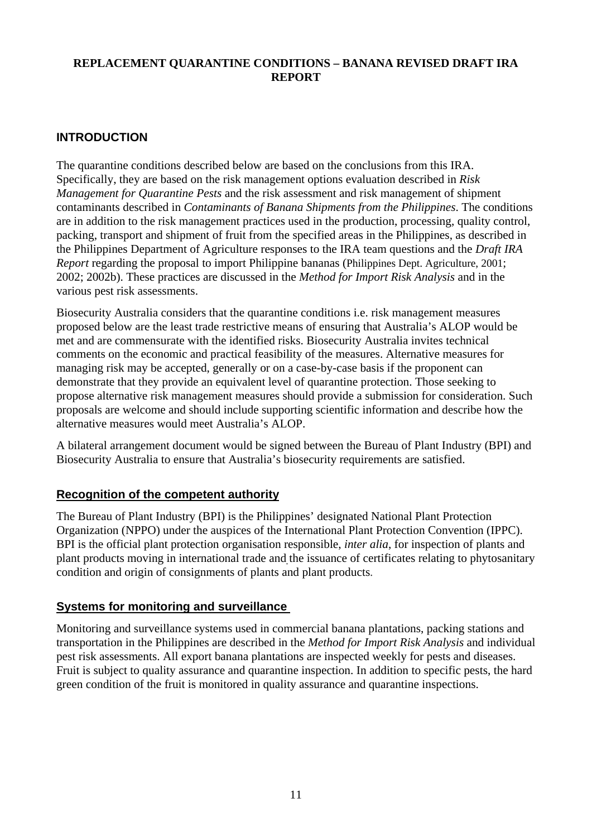# **REPLACEMENT QUARANTINE CONDITIONS – BANANA REVISED DRAFT IRA REPORT**

# **INTRODUCTION**

The quarantine conditions described below are based on the conclusions from this IRA. Specifically, they are based on the risk management options evaluation described in *Risk Management for Quarantine Pests* and the risk assessment and risk management of shipment contaminants described in *Contaminants of Banana Shipments from the Philippines*. The conditions are in addition to the risk management practices used in the production, processing, quality control, packing, transport and shipment of fruit from the specified areas in the Philippines, as described in the Philippines Department of Agriculture responses to the IRA team questions and the *Draft IRA Report* regarding the proposal to import Philippine bananas (Philippines Dept. Agriculture, 2001; 2002; 2002b). These practices are discussed in the *Method for Import Risk Analysis* and in the various pest risk assessments.

Biosecurity Australia considers that the quarantine conditions i.e. risk management measures proposed below are the least trade restrictive means of ensuring that Australia's ALOP would be met and are commensurate with the identified risks. Biosecurity Australia invites technical comments on the economic and practical feasibility of the measures. Alternative measures for managing risk may be accepted, generally or on a case-by-case basis if the proponent can demonstrate that they provide an equivalent level of quarantine protection. Those seeking to propose alternative risk management measures should provide a submission for consideration. Such proposals are welcome and should include supporting scientific information and describe how the alternative measures would meet Australia's ALOP.

A bilateral arrangement document would be signed between the Bureau of Plant Industry (BPI) and Biosecurity Australia to ensure that Australia's biosecurity requirements are satisfied.

# **Recognition of the competent authority**

The Bureau of Plant Industry (BPI) is the Philippines' designated National Plant Protection Organization (NPPO) under the auspices of the International Plant Protection Convention (IPPC). BPI is the official plant protection organisation responsible, *inter alia*, for inspection of plants and plant products moving in international trade and the issuance of certificates relating to phytosanitary condition and origin of consignments of plants and plant products.

# **Systems for monitoring and surveillance**

Monitoring and surveillance systems used in commercial banana plantations, packing stations and transportation in the Philippines are described in the *Method for Import Risk Analysis* and individual pest risk assessments. All export banana plantations are inspected weekly for pests and diseases. Fruit is subject to quality assurance and quarantine inspection. In addition to specific pests, the hard green condition of the fruit is monitored in quality assurance and quarantine inspections.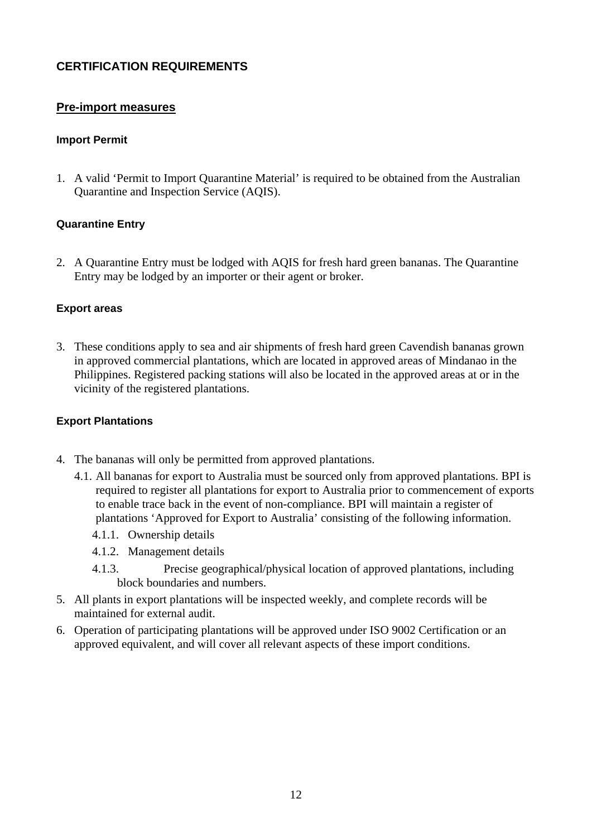# **CERTIFICATION REQUIREMENTS**

# **Pre-import measures**

## **Import Permit**

1. A valid 'Permit to Import Quarantine Material' is required to be obtained from the Australian Quarantine and Inspection Service (AQIS).

# **Quarantine Entry**

2. A Quarantine Entry must be lodged with AQIS for fresh hard green bananas. The Quarantine Entry may be lodged by an importer or their agent or broker.

# **Export areas**

3. These conditions apply to sea and air shipments of fresh hard green Cavendish bananas grown in approved commercial plantations, which are located in approved areas of Mindanao in the Philippines. Registered packing stations will also be located in the approved areas at or in the vicinity of the registered plantations.

# **Export Plantations**

- 4. The bananas will only be permitted from approved plantations.
	- 4.1. All bananas for export to Australia must be sourced only from approved plantations. BPI is required to register all plantations for export to Australia prior to commencement of exports to enable trace back in the event of non-compliance. BPI will maintain a register of plantations 'Approved for Export to Australia' consisting of the following information.
		- 4.1.1. Ownership details
		- 4.1.2. Management details
		- 4.1.3. Precise geographical/physical location of approved plantations, including block boundaries and numbers.
- 5. All plants in export plantations will be inspected weekly, and complete records will be maintained for external audit.
- 6. Operation of participating plantations will be approved under ISO 9002 Certification or an approved equivalent, and will cover all relevant aspects of these import conditions.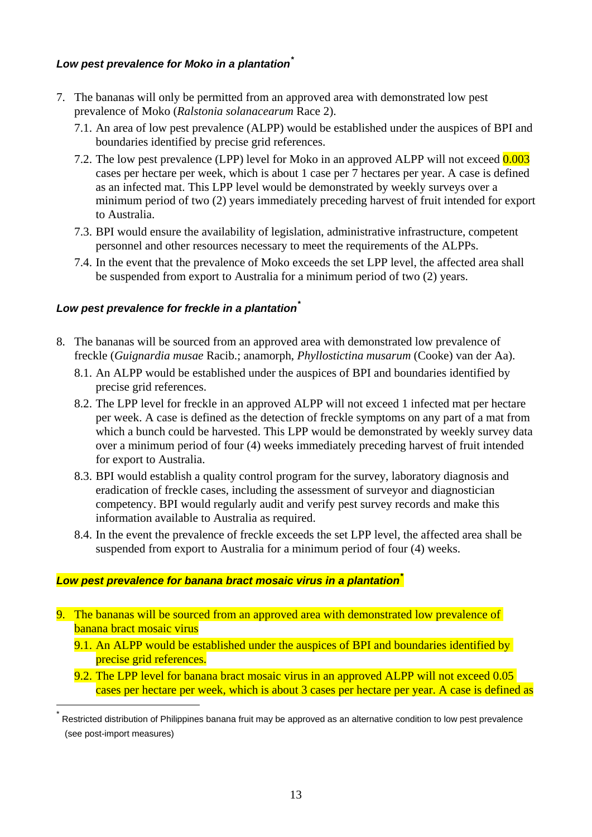# *Low pest prevalence for Moko in a plantation[\\*](#page-12-0)*

- 7. The bananas will only be permitted from an approved area with demonstrated low pest prevalence of Moko (*Ralstonia solanacearum* Race 2).
	- 7.1. An area of low pest prevalence (ALPP) would be established under the auspices of BPI and boundaries identified by precise grid references.
	- 7.2. The low pest prevalence (LPP) level for Moko in an approved ALPP will not exceed  $0.003$ cases per hectare per week, which is about 1 case per 7 hectares per year. A case is defined as an infected mat. This LPP level would be demonstrated by weekly surveys over a minimum period of two (2) years immediately preceding harvest of fruit intended for export to Australia.
	- 7.3. BPI would ensure the availability of legislation, administrative infrastructure, competent personnel and other resources necessary to meet the requirements of the ALPPs.
	- 7.4. In the event that the prevalence of Moko exceeds the set LPP level, the affected area shall be suspended from export to Australia for a minimum period of two (2) years.

### *Low pest prevalence for freckle in a plantation[\\*](#page-12-1)*

- 8. The bananas will be sourced from an approved area with demonstrated low prevalence of freckle (*Guignardia musae* Racib.; anamorph, *Phyllostictina musarum* (Cooke) van der Aa).
	- 8.1. An ALPP would be established under the auspices of BPI and boundaries identified by precise grid references.
	- 8.2. The LPP level for freckle in an approved ALPP will not exceed 1 infected mat per hectare per week. A case is defined as the detection of freckle symptoms on any part of a mat from which a bunch could be harvested. This LPP would be demonstrated by weekly survey data over a minimum period of four (4) weeks immediately preceding harvest of fruit intended for export to Australia.
	- 8.3. BPI would establish a quality control program for the survey, laboratory diagnosis and eradication of freckle cases, including the assessment of surveyor and diagnostician competency. BPI would regularly audit and verify pest survey records and make this information available to Australia as required.
	- 8.4. In the event the prevalence of freckle exceeds the set LPP level, the affected area shall be suspended from export to Australia for a minimum period of four (4) weeks.

### *Low pest prevalence for banana bract mosaic virus in a plantation[\\*](#page-12-2)*

 $\overline{a}$ 

- 9. The bananas will be sourced from an approved area with demonstrated low prevalence of banana bract mosaic virus
	- 9.1. An ALPP would be established under the auspices of BPI and boundaries identified by precise grid references.
	- 9.2. The LPP level for banana bract mosaic virus in an approved ALPP will not exceed 0.05 cases per hectare per week, which is about 3 cases per hectare per year. A case is defined as

<span id="page-12-2"></span><span id="page-12-1"></span><span id="page-12-0"></span><sup>\*</sup> Restricted distribution of Philippines banana fruit may be approved as an alternative condition to low pest prevalence (see post-import measures)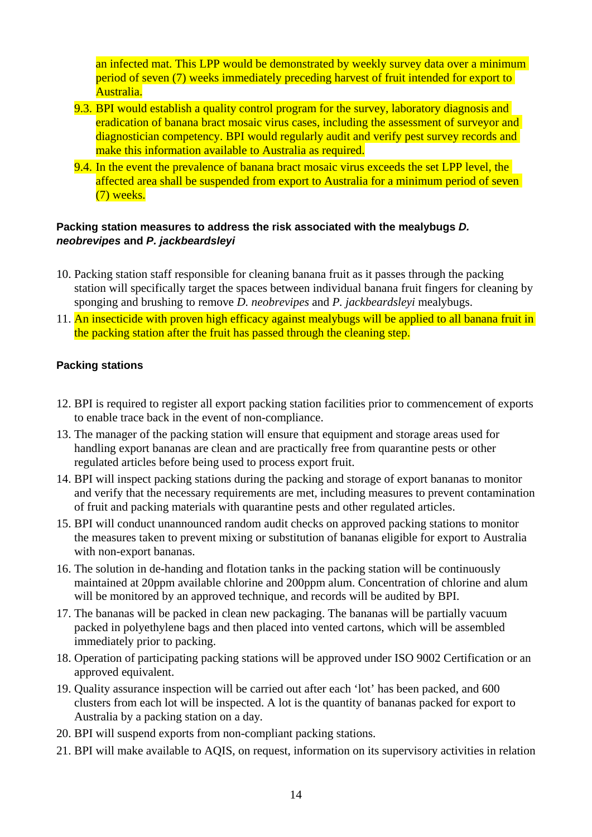an infected mat. This LPP would be demonstrated by weekly survey data over a minimum period of seven (7) weeks immediately preceding harvest of fruit intended for export to Australia.

- 9.3. BPI would establish a quality control program for the survey, laboratory diagnosis and eradication of banana bract mosaic virus cases, including the assessment of surveyor and diagnostician competency. BPI would regularly audit and verify pest survey records and make this information available to Australia as required.
- 9.4. In the event the prevalence of banana bract mosaic virus exceeds the set LPP level, the affected area shall be suspended from export to Australia for a minimum period of seven (7) weeks.

# **Packing station measures to address the risk associated with the mealybugs** *D. neobrevipes* **and** *P. jackbeardsleyi*

- 10. Packing station staff responsible for cleaning banana fruit as it passes through the packing station will specifically target the spaces between individual banana fruit fingers for cleaning by sponging and brushing to remove *D. neobrevipes* and *P. jackbeardsleyi* mealybugs.
- 11. An insecticide with proven high efficacy against mealybugs will be applied to all banana fruit in the packing station after the fruit has passed through the cleaning step.

# **Packing stations**

- 12. BPI is required to register all export packing station facilities prior to commencement of exports to enable trace back in the event of non-compliance.
- 13. The manager of the packing station will ensure that equipment and storage areas used for handling export bananas are clean and are practically free from quarantine pests or other regulated articles before being used to process export fruit.
- 14. BPI will inspect packing stations during the packing and storage of export bananas to monitor and verify that the necessary requirements are met, including measures to prevent contamination of fruit and packing materials with quarantine pests and other regulated articles.
- 15. BPI will conduct unannounced random audit checks on approved packing stations to monitor the measures taken to prevent mixing or substitution of bananas eligible for export to Australia with non-export bananas.
- 16. The solution in de-handing and flotation tanks in the packing station will be continuously maintained at 20ppm available chlorine and 200ppm alum. Concentration of chlorine and alum will be monitored by an approved technique, and records will be audited by BPI.
- 17. The bananas will be packed in clean new packaging. The bananas will be partially vacuum packed in polyethylene bags and then placed into vented cartons, which will be assembled immediately prior to packing.
- 18. Operation of participating packing stations will be approved under ISO 9002 Certification or an approved equivalent.
- 19. Quality assurance inspection will be carried out after each 'lot' has been packed, and 600 clusters from each lot will be inspected. A lot is the quantity of bananas packed for export to Australia by a packing station on a day*.*
- 20. BPI will suspend exports from non-compliant packing stations.
- 21. BPI will make available to AQIS, on request, information on its supervisory activities in relation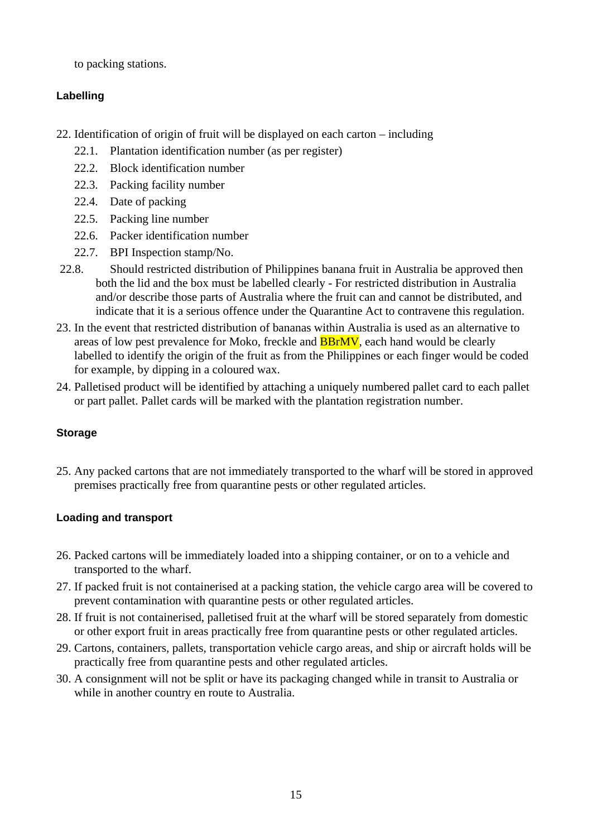to packing stations.

# **Labelling**

- 22. Identification of origin of fruit will be displayed on each carton including
	- 22.1. Plantation identification number (as per register)
	- 22.2. Block identification number
	- 22.3. Packing facility number
	- 22.4. Date of packing
	- 22.5. Packing line number
	- 22.6. Packer identification number
	- 22.7. BPI Inspection stamp/No.
- 22.8. Should restricted distribution of Philippines banana fruit in Australia be approved then both the lid and the box must be labelled clearly - For restricted distribution in Australia and/or describe those parts of Australia where the fruit can and cannot be distributed, and indicate that it is a serious offence under the Quarantine Act to contravene this regulation.
- 23. In the event that restricted distribution of bananas within Australia is used as an alternative to areas of low pest prevalence for Moko, freckle and **BBrMV**, each hand would be clearly labelled to identify the origin of the fruit as from the Philippines or each finger would be coded for example, by dipping in a coloured wax.
- 24. Palletised product will be identified by attaching a uniquely numbered pallet card to each pallet or part pallet. Pallet cards will be marked with the plantation registration number.

# **Storage**

25. Any packed cartons that are not immediately transported to the wharf will be stored in approved premises practically free from quarantine pests or other regulated articles.

# **Loading and transport**

- 26. Packed cartons will be immediately loaded into a shipping container, or on to a vehicle and transported to the wharf.
- 27. If packed fruit is not containerised at a packing station, the vehicle cargo area will be covered to prevent contamination with quarantine pests or other regulated articles.
- 28. If fruit is not containerised, palletised fruit at the wharf will be stored separately from domestic or other export fruit in areas practically free from quarantine pests or other regulated articles.
- 29. Cartons, containers, pallets, transportation vehicle cargo areas, and ship or aircraft holds will be practically free from quarantine pests and other regulated articles.
- 30. A consignment will not be split or have its packaging changed while in transit to Australia or while in another country en route to Australia.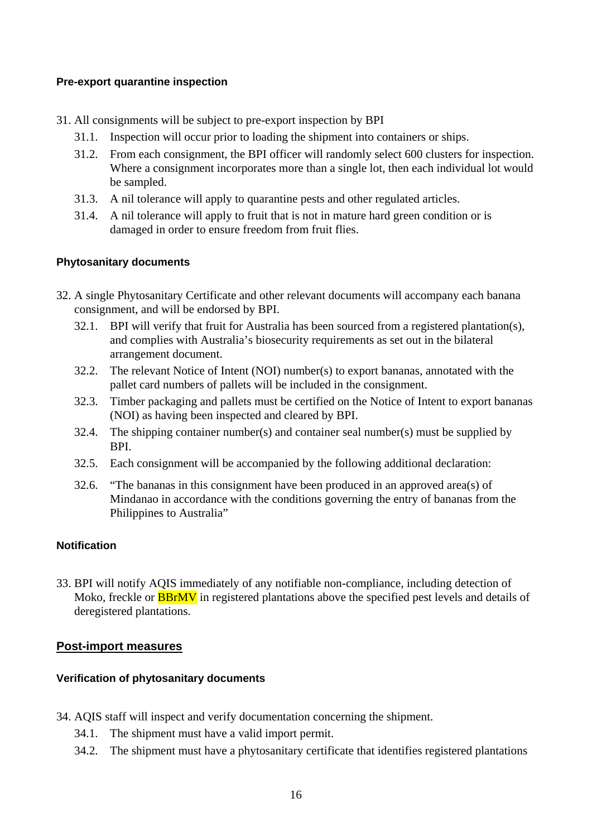# **Pre-export quarantine inspection**

- 31. All consignments will be subject to pre-export inspection by BPI
	- 31.1. Inspection will occur prior to loading the shipment into containers or ships.
	- 31.2. From each consignment, the BPI officer will randomly select 600 clusters for inspection. Where a consignment incorporates more than a single lot, then each individual lot would be sampled.
	- 31.3. A nil tolerance will apply to quarantine pests and other regulated articles.
	- 31.4. A nil tolerance will apply to fruit that is not in mature hard green condition or is damaged in order to ensure freedom from fruit flies.

### **Phytosanitary documents**

- 32. A single Phytosanitary Certificate and other relevant documents will accompany each banana consignment, and will be endorsed by BPI.
	- 32.1. BPI will verify that fruit for Australia has been sourced from a registered plantation(s), and complies with Australia's biosecurity requirements as set out in the bilateral arrangement document.
	- 32.2. The relevant Notice of Intent (NOI) number(s) to export bananas, annotated with the pallet card numbers of pallets will be included in the consignment.
	- 32.3. Timber packaging and pallets must be certified on the Notice of Intent to export bananas (NOI) as having been inspected and cleared by BPI.
	- 32.4. The shipping container number(s) and container seal number(s) must be supplied by BPI.
	- 32.5. Each consignment will be accompanied by the following additional declaration:
	- 32.6. "The bananas in this consignment have been produced in an approved area(s) of Mindanao in accordance with the conditions governing the entry of bananas from the Philippines to Australia"

### **Notification**

33. BPI will notify AQIS immediately of any notifiable non-compliance, including detection of Moko, freckle or **BBrMV** in registered plantations above the specified pest levels and details of deregistered plantations.

### **Post-import measures**

### **Verification of phytosanitary documents**

- 34. AQIS staff will inspect and verify documentation concerning the shipment.
	- 34.1. The shipment must have a valid import permit.
	- 34.2. The shipment must have a phytosanitary certificate that identifies registered plantations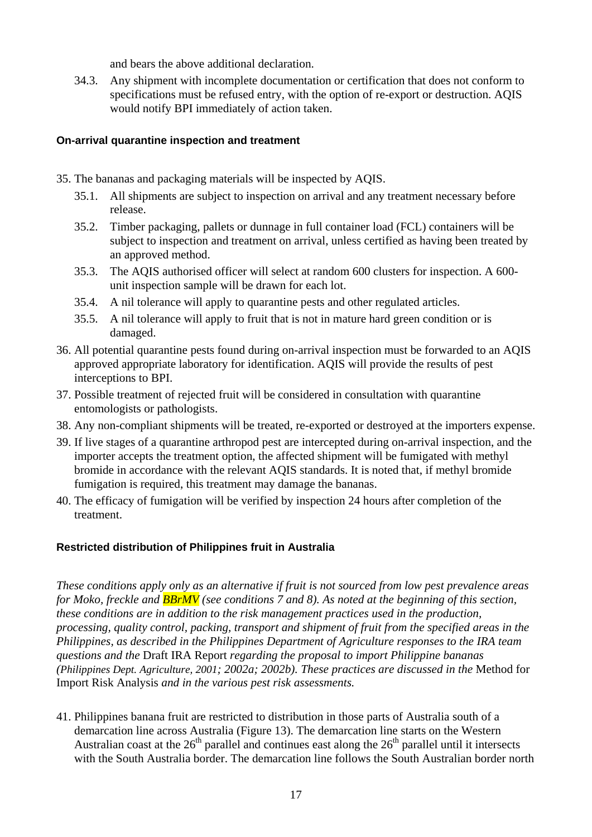and bears the above additional declaration.

34.3. Any shipment with incomplete documentation or certification that does not conform to specifications must be refused entry, with the option of re-export or destruction. AQIS would notify BPI immediately of action taken.

# **On-arrival quarantine inspection and treatment**

- 35. The bananas and packaging materials will be inspected by AQIS.
	- 35.1. All shipments are subject to inspection on arrival and any treatment necessary before release.
	- 35.2. Timber packaging, pallets or dunnage in full container load (FCL) containers will be subject to inspection and treatment on arrival, unless certified as having been treated by an approved method.
	- 35.3. The AQIS authorised officer will select at random 600 clusters for inspection. A 600 unit inspection sample will be drawn for each lot.
	- 35.4. A nil tolerance will apply to quarantine pests and other regulated articles.
	- 35.5. A nil tolerance will apply to fruit that is not in mature hard green condition or is damaged.
- 36. All potential quarantine pests found during on-arrival inspection must be forwarded to an AQIS approved appropriate laboratory for identification. AQIS will provide the results of pest interceptions to BPI.
- 37. Possible treatment of rejected fruit will be considered in consultation with quarantine entomologists or pathologists.
- 38. Any non-compliant shipments will be treated, re-exported or destroyed at the importers expense.
- 39. If live stages of a quarantine arthropod pest are intercepted during on-arrival inspection, and the importer accepts the treatment option, the affected shipment will be fumigated with methyl bromide in accordance with the relevant AQIS standards. It is noted that, if methyl bromide fumigation is required, this treatment may damage the bananas.
- 40. The efficacy of fumigation will be verified by inspection 24 hours after completion of the treatment.

# **Restricted distribution of Philippines fruit in Australia**

*These conditions apply only as an alternative if fruit is not sourced from low pest prevalence areas for Moko, freckle and BBrMV (see conditions 7 and 8). As noted at the beginning of this section, these conditions are in addition to the risk management practices used in the production, processing, quality control, packing, transport and shipment of fruit from the specified areas in the Philippines, as described in the Philippines Department of Agriculture responses to the IRA team questions and the* Draft IRA Report *regarding the proposal to import Philippine bananas (Philippines Dept. Agriculture, 2001; 2002a; 2002b). These practices are discussed in the* Method for Import Risk Analysis *and in the various pest risk assessments.* 

41. Philippines banana fruit are restricted to distribution in those parts of Australia south of a demarcation line across Australia (Figure 13). The demarcation line starts on the Western Australian coast at the  $26<sup>th</sup>$  parallel and continues east along the  $26<sup>th</sup>$  parallel until it intersects with the South Australia border. The demarcation line follows the South Australian border north